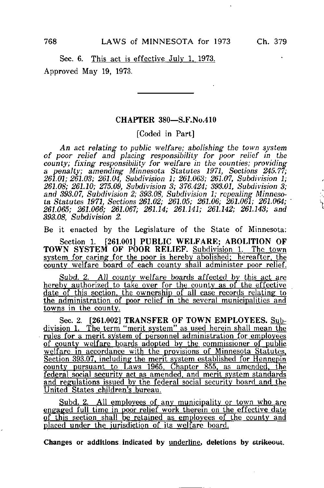i.

Sec. 6. This act is effective July 1. 1973.

Approved May 19, 1973.

## CHAPTER 380—S.F.No.410

[Coded in Part]

An act relating to public welfare; abolishing the town system of poor relief and placing responsibility for poor relief in the county; fixing responsibility for welfare in the counties; providing a penalty; amending Minnesota Statutes 1971, Sections 245.77; 261.01; 261.03; 261.04, Subdivision 1; 261.063; 261.07, Subdivision 1; 261.0S; 261.10; 275.09, Subdivision 3; 376.424; 393.01, Subdivision 3; and 393.07, Subdivision 2; 393.08, Subdivision 1; repealing Minnesota Statutes 1971, Sections 261.02; 261.05; 261.06; 261.061; 261.064; 261.065; 261.066; 261.067; 261.14; 261.141; 261.142; 261.143; and 393.08, Subdivision 2.

Be it enacted by the Legislature of the State of Minnesota:

Section 1. [261.001] PUBLIC WELFARE; ABOLITION OF TOWN SYSTEM OF POOR RELIEF. Subdivision 1. The town system for caring for the poor is hereby abolished; hereafter, the county welfare board of each county shall administer poor relief.

Subd. 2. All county welfare boards affected by this act are hereby authorized to take over for the county as of the effective date of this section, the ownership of all case records relating to the administration of poor relief in the several municipalities and towns in the county.

Sec. 2. [261.002] TRANSFER OF TOWN EMPLOYEES. Subdivision 1. The term "merit system" as used herein shall mean the rules for a merit system of personnel administration for employees of county welfare boards adopted by the commissioner of public welfare in accordance with the provisions of Minnesota Statutes, Section 393.07. including the merit system established for Hennepin county pursuant to Laws 1965. Chapter 855. as amended, the federal social security act as amended, and merit system standards and regulations issued by the federal social security board and the United States children's bureau.

Subd. 2. All employees of any municipality or town who are engaged full time in poor relief work therein on the effective date of this section shall be retained as employees of the county and placed under the jurisdiction of its welfare board,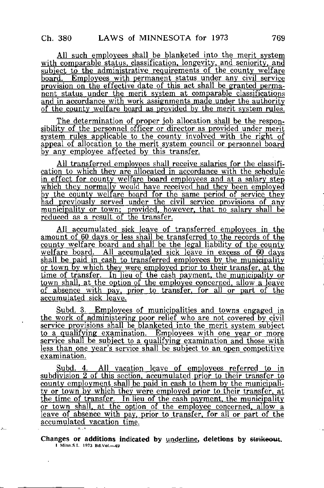All such employees shall be blanketed into the merit system with comparable status, classification, longevity, and seniority, and subject to the administrative requirements of the county welfare board. Employees with permanent status under any civil service provision on the effective date of this act shall be granted permanent status under the merit system at comparable classifications and in accordance with work assignments made under the authority of the county welfare board as provided by the merit system rules.

The determination of proper job allocation shall be the responsibility of the personnel officer or director as provided under merit system rules applicable to the county involved with the right of appeal of allocation to the merit system council or personnel board by any employee affected by this transfer.

All transferred employees shall receive salaries for the classification to which they are allocated in accordance with the schedule in effect for county welfare board employees and at a salary step which they normally would have received had they been employed by the county welfare board for the same period of service they had previously served under the civil service provisions of any municipality or town; provided, however, that no salary shall be reduced as a result of the transfer.

All accumulated sick leave of transferred employees in the amount of 60 days or less shall be transferred to the records of the county welfare board and shall be the legal liability of the county welfare board. All accumulated sick leave in excess of 60 days shall be paid in cash to transferred employees by the municipality or town by which they were employed prior to their transfer, at the time of transfer. In lieu of the cash payment, the municipality or town shall, at the option of the employee concerned, allow a leave of absence with pay, prior to transfer, for all or part of the accumulated sick leave.

Subd. 3. Employees of municipalities and towns engaged in the work of administering poor relief who are not covered by civil service provisions shall be blanketed into the merit system subject to a qualifying examination. Employees with one year or more service shall be subject to a qualifying examination and those with less than one year's service shall be subject to an open competitive examination.

Subd. 4. All vacation leave of employees referred to in subdivision 2 of this section, accumulated prior to their transfer to county employment shall be paid in cash to them by the municipality or town by which they were employed prior to their transfer, at the time of transfer. In lieu of the cash payment, the municipality or town shall, at the option of the employee concerned, allow  $a$ leave of absence with pay, prior to transfer, for all or part of the accumulated vacation time.

Changes or additions indicated by underline, deletions by strikeout. I Minn.S.L. 1973 Bd.Vol.—49

ò.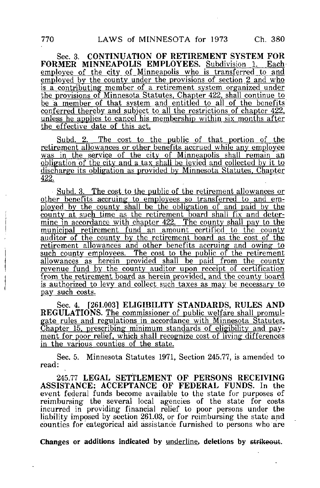Sec. 3. CONTINUATION OF RETIREMENT SYSTEM FOR FORMER MINNEAPOLIS EMPLOYEES. Subdivision 1. Eachemployee of the city of Minneapolis who is transferred to and employed by the county under the provisions of section 2 and who is a contributing member of a retirement system organized under the provisions of Minnesota Statutes. Chapter 422. shall continue to be a member of that system and entitled to all of the benefits conferred thereby and subject to all the restrictions of chapter 422, unless he applies to cancel his membership within six months after the effective date of this act.

Subd. 2. The cost to the public of that portion of the retirement allowances or other benefits accrued while any employee was in the service of the city of Minneapolis shall remain an obligation of the city and a tax shall be levied and collected by it to discharge its obligation as provided by Minnesota^ Statutes. Chapter 422.

Subd. 3. The cost to the public of the retirement allowances or other benefits accruing to employees so transferred to and employed by the county shall he the obligation of and paid by the county at such time as the retirement board shall fix and determine in accordance with chapter 422. The county shall pay to the municipal retirement fund an amount certified to the county auditor of the county by the retirement board as the cost of the retirement allowances and other benefits accruing and owing to such county employees. The cost to the public of the retirement allowances as herein provided shall be paid from the county revenue fund by the county auditor upon receipt of certification from the retirement board as herein provided, and the county board is authorized to levy and collect such taxes as may be necessary to pay such costs.

Sec. 4. [261.003] ELIGIBILITY STANDARDS, RULES AND REGULATIONS. The commissioner of public welfare shall promulgate rules and regulations in accordance with Minnesota Statutes. Chapter 15. prescribing minimum standards of eligibility and pay^ ment for poor relief, which shall recognize cost of living differences in the various counties of the state.

Sec. 5. Minnesota Statutes 1971, Section 245.77, is amended to read:

245.77 LEGAL SETTLEMENT OF PERSONS RECEIVING ASSISTANCE; ACCEPTANCE OF FEDERAL FUNDS. In the event federal funds become available to the state for purposes of reimbursing the several local agencies of the state for costs incurred in providing financial relief to poor persons under the liability imposed by section 261.03, or for reimbursing the state and counties for categorical aid assistance furnished to persons who are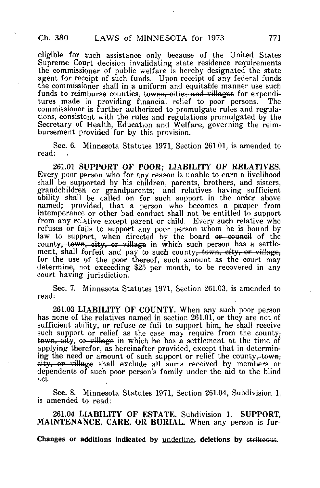eligible for such assistance only because of the United States Supreme Court decision invalidating state residence requirements the commissioner of public welfare is hereby designated the state agent for receipt of such funds. Upon receipt of any federal funds the commissioner shall in a uniform and equitable manner use such funds to reimburse counties<del>, towns, cities and villages</del> for expenditures made in providing financial relief to poor persons. The tures made in providing financial relief to poor persons. commissioner is further authorized to promulgate rules and regulations, consistent with the rules and regulations promulgated by the Secretary of Health, Education and Welfare, governing the reimbursement provided for by this provision.

Sec. 6. Minnesota Statutes 1971, Section 261.01, is amended to read:

261.01 SUPPORT OF POOR; LIABILITY OF RELATIVES. Every poor person who for any reason is unable to earn a livelihood shall be supported by his children, parents, brothers, and sisters, grandchildren or grandparents; and relatives having sufficient ability shall be called on for such support in the order above named; provided, that a person who becomes a pauper from intemperance or other bad conduct shall not be entitled to support from any relative except parent or child. Every such relative who refuses or fails to support any poor person whom he is bound by law to support, when directed by the board <del>or council</del> of the county<del>, town, city, or village</del> in which such person has a settlement, shall forfeit and pay to such county, town, city, or village, for the use of the poor thereof, such amount as the court may determine, not exceeding \$25 per month, to be recovered in any court having jurisdiction.

Sec. 7. Minnesota Statutes 1971, Section 261.03, is amended to read:

261.03 LIABILITY OF COUNTY. When any such poor person has none of the relatives named in section 261.01, or they are not of sufficient ability, or refuse or fail to support him, he shall receive such support or relief as the case may require from the county. town, oity, or village in which he has a settlement at the time of applying therefor, as hereinafter provided, except that in determining the need or amount of such support or relief the county, town, eity, or village shall exclude all sums received by members or dependents of such poor person's family under the aid to the blind act.

Sec. 8. Minnesota Statutes 1971, Section 261.04, Subdivision 1, is amended to read:

261.04 LIABILITY OF ESTATE. Subdivision 1. SUPPORT, MAINTENANCE, CARE, OR BURIAL. When any person is fur-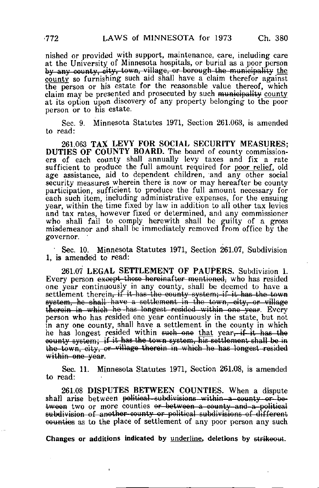nished or provided with support, maintenance, care, including care at the University of Minnesota hospitals, or burial as a poor person by any county, city, town, village, or borough the municipality the county so furnishing such aid shall have a claim therefor against the person or his estate for the reasonable value thereof, which claim may be presented and prosecuted by such municipality county at its option upon discovery of any property belonging to the poor person or to his estate.

Sec. 9. Minnesota Statutes 1971, Section 261.063, is amended to read:

261.063 TAX LEVY FOR SOCIAL SECURITY MEASURES; DUTIES OF COUNTY BOARD. The board of county commissioners of each county shall annually levy taxes and fix a rate sufficient to produce the full amount required for poor relief, old age assistance, aid to dependent children, and any other social security measures wherein there is now or may hereafter be county participation, sufficient to produce the full amount necessary for each such item, including administrative expenses, for the ensuing year, within the time fixed by law in addition to all other tax levies and tax rates, however fixed or determined, and any commissioner who shall fail to comply herewith shall be guilty of a gross misdemeanor and shall be immediately removed from office by the governor.

• Sec. 10. Minnesota Statutes 1971, Section 261.07, Subdivision 1, is amended to read:

261.07 LEGAL SETTLEMENT OF PAUPERS. Subdivision 1. Every person except those hereinafter mentioned, who has resided one year continuously in any county, shall be deemed to have a settlement therein, if it has the county system; if it has the town system, he shall-have a settlement in the town, city, or village therein in which he has longest resided within one year. Every person who has resided one year continuously in the state, but not in any one county, shall have a settlement in the county in which he has longest resided within such one that year, if it has the oounty system; if it has the town system, his settlement-shall be in the town, city, or village therein in which he has longest-resided within one vear.

Sec. 11. Minnesota Statutes 1971, Section 261.08, is amended to read:

261.08 DISPUTES BETWEEN COUNTIES. When a dispute shall arise between political-subdivisions-within-a-county or- between two or more counties or between a county-and-a-political subdivision of another-county or political subdivisions of different **counties** as to the place of settlement of any poor person any such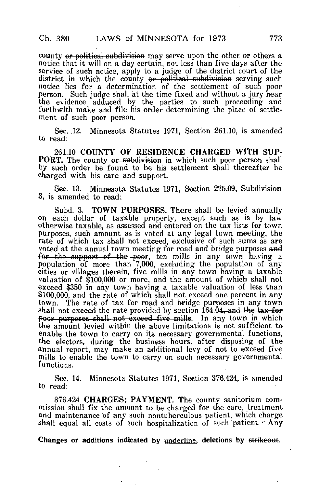county or political subdivision may serve upon the other or others a notice that it will on a day certain, not less than five days after the service of such notice, apply to a judge of the district court of the district in which the county or political subdivision serving such notice lies for a determination of the settlement of such poor person. Such judge shall at the time fixed and without a jury hear the evidence adduced by the parties to such proceeding and forthwith make and file his order determining the place of settlement of such poor person.

Sec. .12. Minnesota Statutes 1971, Section 261.10, is amended to read:

261.10 COUNTY OF RESIDENCE CHARGED WITH SUP-**PORT.** The county or subdivision in which such poor person shall by such order be found to be his settlement shall thereafter be charged with his care and support.

Sec. 13. Minnesota Statutes 1971, Section 275.09, Subdivision 3, is amended to read:

Subd. 3. TOWN PURPOSES. There shall be levied annually on each dollar of taxable property, except such as is by law otherwise taxable, as assessed and entered on the tax lists for town purposes, such amount as is voted at any legal town meeting, the rate of which tax shall not exceed, exclusive of such sums as are voted at the annual town meeting for road and bridge purposes and for the support of the poor, ten mills in any town having a population of more than 7,000, excluding the population of any cities or villages therein, five mills in any town having a taxable valuation of \$100,000 or more, and the amount of which shall not exceed \$350 in any town having a taxable valuation of less than \$100,000, and the rate of which shall not exceed one percent in any town. The rate of tax for road and bridge purposes in any town shall not exceed the rate provided by section  $164.04$ , and the tax-for poor purposes shall not exceed five mills. In any town in which the amount levied within the above limitations is not sufficient to enable the town to carry on its necessary governmental functions, the electors, during the business hours, after disposing of the annual report, may make an additional levy of not to exceed five mills to enable the town to carry on such necessary governmental functions.

Sec. 14. Minnesota Statutes 1971, Section 376.424, is amended to read:

376.424 CHARGES; PAYMENT. The county sanitorium commission shall fix the amount to be charged for the care, treatment and maintenance of any such nontuberculous patient, which charge shall equal all costs of such hospitalization of such patient.  $-Any$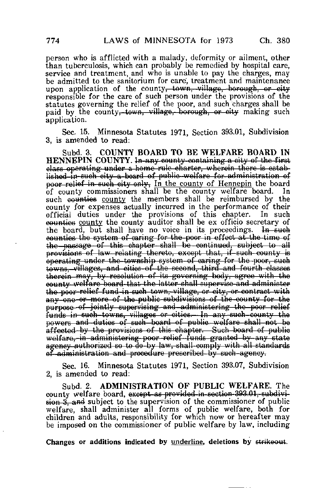person who is afflicted with a malady, deformity or ailment, other than tuberculosis, which can probably be remedied by hospital care, service and treatment, and who is unable to pay the charges, may be admitted to the sanitorium for care', treatment and maintenance upon application of the county<del>, town, village, borough, or city</del> responsible for the care of such person under the provisions of the statutes governing the relief of the poor, and such charges shall be paid by the county, town, village, borough, or eity making such application.

Sec- 15. Minnesota Statutes 1971, Section 393.01, Subdivision 3, is amended to read:

Subd. 3. COUNTY BOARD TO BE WELFARE BOARD IN HENNEPIN COUNTY. In any county containing a city of tho first elass operating under a home rule charter, wherein there is established-in-such city a board of public welfare for administration of poor relief in such city only. In the county of Hennepin the board of county commissioners shall be the county welfare board. In such <del>counties</del> <u>county</u> the members shall be reimbursed by the county for expenses actually incurred in the performance of their official duties under the provisions of this chapter. equation county the county auditor shall be ex officio secretary of the board, but shall have no voice in its proceedings.  $\overline{a}$  and  $\overline{b}$ the board, but shall have no voice in its proceedings. counties the system of-earing for the poor in of feet at the-time of the passage of this chapter shall be continued, subject to all provisions of law relating thereto, except that, if such county is operating under the township system of oaring for the -poor, such towns.-villages, and cities of the second,- third and fourth classes therein may, by resolution of its governing body, agree with the county welfare board that tho latter shall supervise-and administer the poor-relief fund in such town, village, or city, or contract with any-one-or-more of the-public subdivisions of the county for the purpose of jointly supervising and administering the poor relief funds in such towns, villages or cities. In any such county the powers and duties of such board of public welfare shall not be affoctod by the provisions of this chapter.—Such board of public welfare,-in-administering poor relief funds granted by any state agency authorized so to do-by law, shall-comply with all standards of administration and procedure proscribed by cuch agency.

Sec. 16. Minnesota Statutes 1971, Section 393.07, Subdivision 2, is amended to read:

Subd. 2. ADMINISTRATION OF PUBLIC WELFARE. The county welfare board, except as provided in-section 393.01, subdivision 3, and subject to the supervision of the commissioner of public welfare, shall administer all forms of public welfare, both for children and adults, responsibility for which now or hereafter may be imposed on the commissioner of public welfare by law, including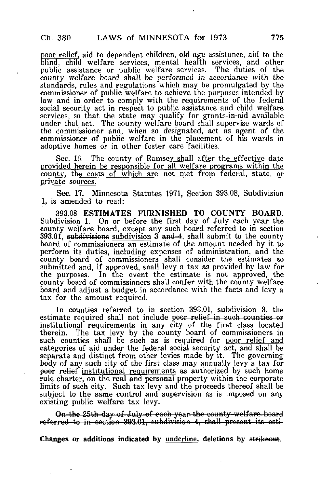poor relief, aid to dependent children, old age assistance, aid to the blind, child welfare services, mental health services, and other public assistance or public welfare services. The duties of the county welfare board shall, be performed in accordance with the standards, rules and regulations which may be promulgated by the commissioner of public welfare to achieve the purposes intended by law and in order to comply with the requirements of the federal social security act in respect to public assistance and child welfare services, so that the state may qualify for grants-in-aid available under that act. The county welfare board shall supervise wards of the commissioner and, when so designated, act as agent of the commissioner of public welfare in the placement of his wards in adoptive homes or in other foster care facilities.

Sec. 16. The county of Ramsey shall after the effective date provided herein be responsible for all welfare programs within the county, the costs of which are not met from federal, state, or private sources.

Sec. 17. Minnesota Statutes 1971, Section 393.08, Subdivision 1, is amended to read:

393.08 ESTIMATES FURNISHED TO COUNTY BOARD. Subdivision 1. On or before the first day of July each year the county welfare board, except any such board referred to in section 393.01, subdivisions subdivision  $3$  and  $4$ , shall submit to the county board of commissioners an estimate of the amount needed by it to perform its duties, including expenses of administration, and the county board of commissioners shall consider the estimates so submitted and, if approved, shall levy a tax as provided by law for the purposes. In the event the estimate is not approved, the county board of commissioners shall confer with the county welfare board and adjust a budget in accordance with the facts and levy a tax for the amount required.

In counties referred to in section 393.01, subdivision 3, the estimate required shall not include poor relief-in such counties or institutional requirements in any city of the first class located therein. The tax levy by the county board of commissioners in such counties shall be such as is required for poor relief and categories of aid under the federal social security act, and shall be separate and distinct from other levies made by it. The governing body of any such city of the first class may annually levy a tax for poor relief institutional requirements as authorized by such home rule charter, on the real and personal property within the corporate limits of such city. Such tax levy and the proceeds thereof shall be subject to the same control and supervision as is imposed on any existing public welfare tax levy.

On the 25th day of July of each year the county welfare board referred to in section 393.01, subdivision 4, shall-present its osti